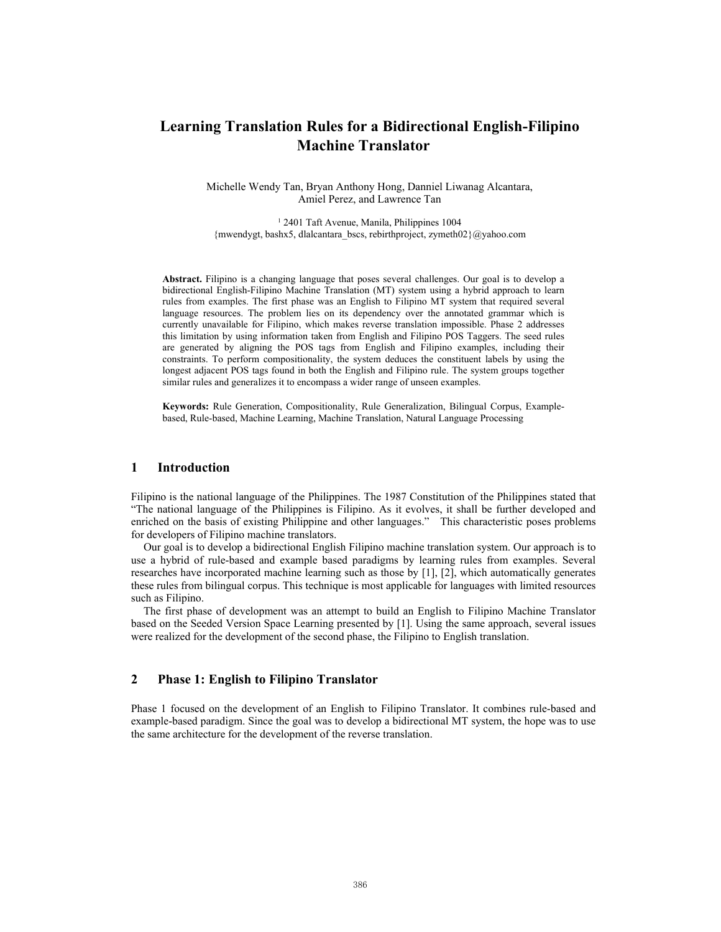# **Learning Translation Rules for a Bidirectional English-Filipino Machine Translator**

Michelle Wendy Tan, Bryan Anthony Hong, Danniel Liwanag Alcantara, Amiel Perez, and Lawrence Tan

1 2401 Taft Avenue, Manila, Philippines 1004 {mwendygt, bashx5, dlalcantara\_bscs, rebirthproject, zymeth02}@yahoo.com

**Abstract.** Filipino is a changing language that poses several challenges. Our goal is to develop a bidirectional English-Filipino Machine Translation (MT) system using a hybrid approach to learn rules from examples. The first phase was an English to Filipino MT system that required several language resources. The problem lies on its dependency over the annotated grammar which is currently unavailable for Filipino, which makes reverse translation impossible. Phase 2 addresses this limitation by using information taken from English and Filipino POS Taggers. The seed rules are generated by aligning the POS tags from English and Filipino examples, including their constraints. To perform compositionality, the system deduces the constituent labels by using the longest adjacent POS tags found in both the English and Filipino rule. The system groups together similar rules and generalizes it to encompass a wider range of unseen examples.

**Keywords:** Rule Generation, Compositionality, Rule Generalization, Bilingual Corpus, Examplebased, Rule-based, Machine Learning, Machine Translation, Natural Language Processing

## **1 Introduction**

Filipino is the national language of the Philippines. The 1987 Constitution of the Philippines stated that "The national language of the Philippines is Filipino. As it evolves, it shall be further developed and enriched on the basis of existing Philippine and other languages." This characteristic poses problems for developers of Filipino machine translators.

Our goal is to develop a bidirectional English Filipino machine translation system. Our approach is to use a hybrid of rule-based and example based paradigms by learning rules from examples. Several researches have incorporated machine learning such as those by [1], [2], which automatically generates these rules from bilingual corpus. This technique is most applicable for languages with limited resources such as Filipino.

The first phase of development was an attempt to build an English to Filipino Machine Translator based on the Seeded Version Space Learning presented by [1]. Using the same approach, several issues were realized for the development of the second phase, the Filipino to English translation.

# **2 Phase 1: English to Filipino Translator**

Phase 1 focused on the development of an English to Filipino Translator. It combines rule-based and example-based paradigm. Since the goal was to develop a bidirectional MT system, the hope was to use the same architecture for the development of the reverse translation.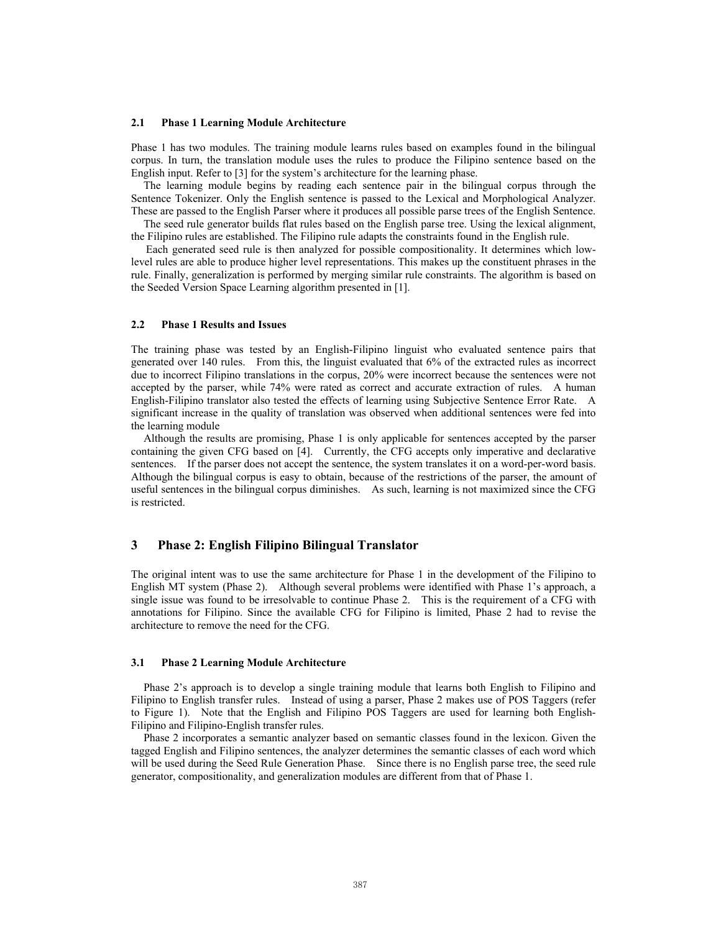## **2.1 Phase 1 Learning Module Architecture**

Phase 1 has two modules. The training module learns rules based on examples found in the bilingual corpus. In turn, the translation module uses the rules to produce the Filipino sentence based on the English input. Refer to [3] for the system's architecture for the learning phase.

The learning module begins by reading each sentence pair in the bilingual corpus through the Sentence Tokenizer. Only the English sentence is passed to the Lexical and Morphological Analyzer. These are passed to the English Parser where it produces all possible parse trees of the English Sentence.

The seed rule generator builds flat rules based on the English parse tree. Using the lexical alignment, the Filipino rules are established. The Filipino rule adapts the constraints found in the English rule.

Each generated seed rule is then analyzed for possible compositionality. It determines which lowlevel rules are able to produce higher level representations. This makes up the constituent phrases in the rule. Finally, generalization is performed by merging similar rule constraints. The algorithm is based on the Seeded Version Space Learning algorithm presented in [1].

## **2.2 Phase 1 Results and Issues**

The training phase was tested by an English-Filipino linguist who evaluated sentence pairs that generated over 140 rules. From this, the linguist evaluated that 6% of the extracted rules as incorrect due to incorrect Filipino translations in the corpus, 20% were incorrect because the sentences were not accepted by the parser, while 74% were rated as correct and accurate extraction of rules. A human English-Filipino translator also tested the effects of learning using Subjective Sentence Error Rate. A significant increase in the quality of translation was observed when additional sentences were fed into the learning module

Although the results are promising, Phase 1 is only applicable for sentences accepted by the parser containing the given CFG based on [4]. Currently, the CFG accepts only imperative and declarative sentences. If the parser does not accept the sentence, the system translates it on a word-per-word basis. Although the bilingual corpus is easy to obtain, because of the restrictions of the parser, the amount of useful sentences in the bilingual corpus diminishes. As such, learning is not maximized since the CFG is restricted.

## **3 Phase 2: English Filipino Bilingual Translator**

The original intent was to use the same architecture for Phase 1 in the development of the Filipino to English MT system (Phase 2). Although several problems were identified with Phase 1's approach, a single issue was found to be irresolvable to continue Phase 2. This is the requirement of a CFG with annotations for Filipino. Since the available CFG for Filipino is limited, Phase 2 had to revise the architecture to remove the need for the CFG.

#### **3.1 Phase 2 Learning Module Architecture**

Phase 2's approach is to develop a single training module that learns both English to Filipino and Filipino to English transfer rules. Instead of using a parser, Phase 2 makes use of POS Taggers (refer to Figure 1). Note that the English and Filipino POS Taggers are used for learning both English-Filipino and Filipino-English transfer rules.

Phase 2 incorporates a semantic analyzer based on semantic classes found in the lexicon. Given the tagged English and Filipino sentences, the analyzer determines the semantic classes of each word which will be used during the Seed Rule Generation Phase. Since there is no English parse tree, the seed rule generator, compositionality, and generalization modules are different from that of Phase 1.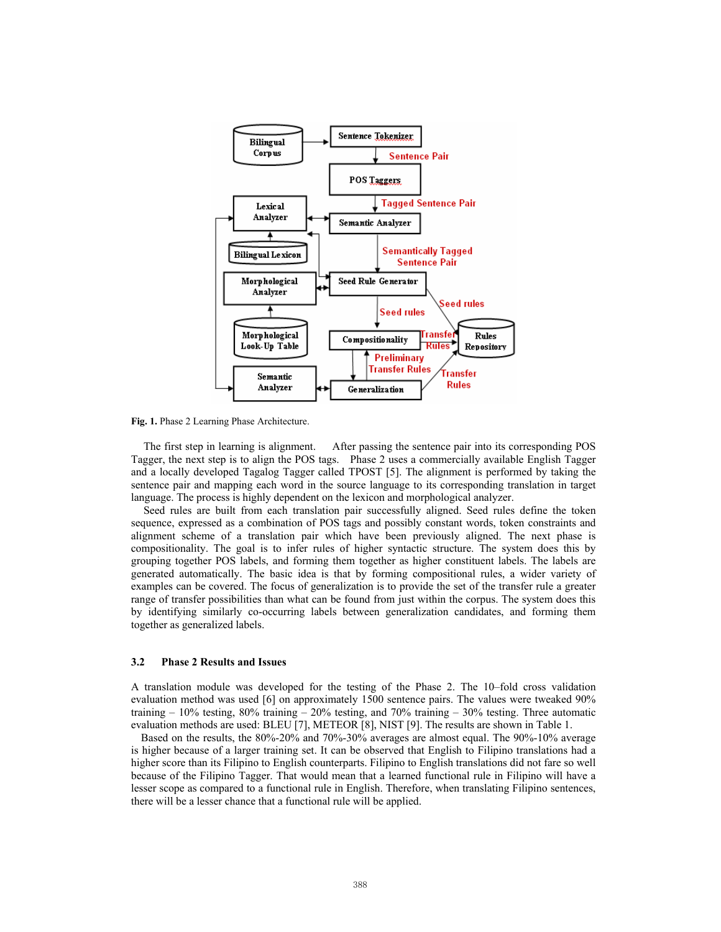

**Fig. 1.** Phase 2 Learning Phase Architecture.

The first step in learning is alignment. After passing the sentence pair into its corresponding POS Tagger, the next step is to align the POS tags. Phase 2 uses a commercially available English Tagger and a locally developed Tagalog Tagger called TPOST [5]. The alignment is performed by taking the sentence pair and mapping each word in the source language to its corresponding translation in target language. The process is highly dependent on the lexicon and morphological analyzer.

Seed rules are built from each translation pair successfully aligned. Seed rules define the token sequence, expressed as a combination of POS tags and possibly constant words, token constraints and alignment scheme of a translation pair which have been previously aligned. The next phase is compositionality. The goal is to infer rules of higher syntactic structure. The system does this by grouping together POS labels, and forming them together as higher constituent labels. The labels are generated automatically. The basic idea is that by forming compositional rules, a wider variety of examples can be covered. The focus of generalization is to provide the set of the transfer rule a greater range of transfer possibilities than what can be found from just within the corpus. The system does this by identifying similarly co-occurring labels between generalization candidates, and forming them together as generalized labels.

#### **3.2 Phase 2 Results and Issues**

A translation module was developed for the testing of the Phase 2. The 10–fold cross validation evaluation method was used [6] on approximately 1500 sentence pairs. The values were tweaked 90% training – 10% testing, 80% training – 20% testing, and 70% training – 30% testing. Three automatic evaluation methods are used: BLEU [7], METEOR [8], NIST [9]. The results are shown in Table 1.

Based on the results, the 80%-20% and 70%-30% averages are almost equal. The 90%-10% average is higher because of a larger training set. It can be observed that English to Filipino translations had a higher score than its Filipino to English counterparts. Filipino to English translations did not fare so well because of the Filipino Tagger. That would mean that a learned functional rule in Filipino will have a lesser scope as compared to a functional rule in English. Therefore, when translating Filipino sentences, there will be a lesser chance that a functional rule will be applied.